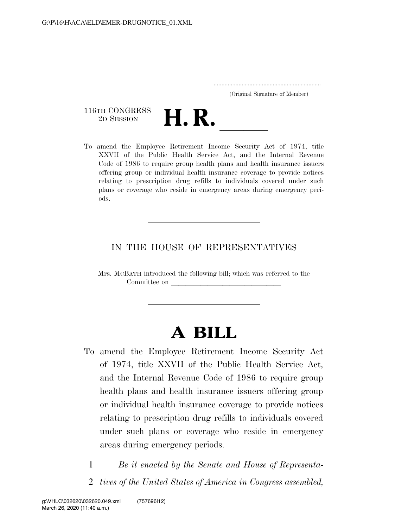(Original Signature of Member)

116TH CONGRESS 116TH CONGRESS<br>
2D SESSION<br>
To amend the Employee Retirement Income Security Act of 1974, title

XXVII of the Public Health Service Act, and the Internal Revenue Code of 1986 to require group health plans and health insurance issuers offering group or individual health insurance coverage to provide notices relating to prescription drug refills to individuals covered under such plans or coverage who reside in emergency areas during emergency periods.

### IN THE HOUSE OF REPRESENTATIVES

Mrs. MCBATH introduced the following bill; which was referred to the Committee on

# **A BILL**

- To amend the Employee Retirement Income Security Act of 1974, title XXVII of the Public Health Service Act, and the Internal Revenue Code of 1986 to require group health plans and health insurance issuers offering group or individual health insurance coverage to provide notices relating to prescription drug refills to individuals covered under such plans or coverage who reside in emergency areas during emergency periods.
	- 1 *Be it enacted by the Senate and House of Representa-*2 *tives of the United States of America in Congress assembled,*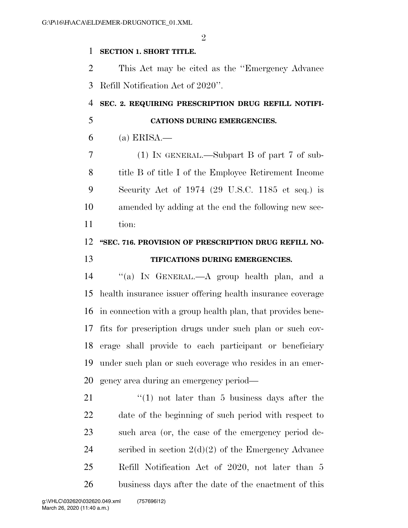### **SECTION 1. SHORT TITLE.**

 This Act may be cited as the ''Emergency Advance Refill Notification Act of 2020''.

# **SEC. 2. REQUIRING PRESCRIPTION DRUG REFILL NOTIFI-**

- **CATIONS DURING EMERGENCIES.**
- (a) ERISA.—

 (1) IN GENERAL.—Subpart B of part 7 of sub- title B of title I of the Employee Retirement Income Security Act of 1974 (29 U.S.C. 1185 et seq.) is amended by adding at the end the following new sec-tion:

### **''SEC. 716. PROVISION OF PRESCRIPTION DRUG REFILL NO-**

### **TIFICATIONS DURING EMERGENCIES.**

 ''(a) IN GENERAL.—A group health plan, and a health insurance issuer offering health insurance coverage in connection with a group health plan, that provides bene- fits for prescription drugs under such plan or such cov- erage shall provide to each participant or beneficiary under such plan or such coverage who resides in an emer-gency area during an emergency period—

 $\frac{1}{2}$  (1) not later than 5 business days after the date of the beginning of such period with respect to such area (or, the case of the emergency period de-24 scribed in section  $2(d)(2)$  of the Emergency Advance Refill Notification Act of 2020, not later than 5 business days after the date of the enactment of this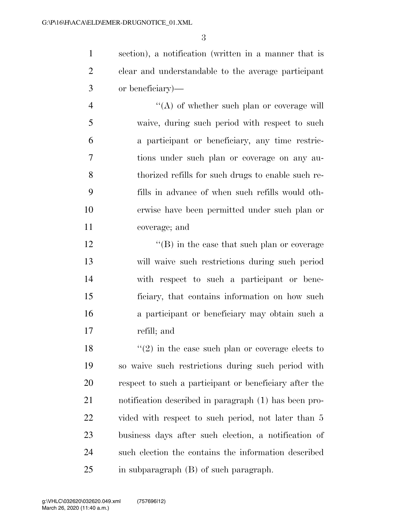section), a notification (written in a manner that is clear and understandable to the average participant or beneficiary)—

4 ''(A) of whether such plan or coverage will waive, during such period with respect to such a participant or beneficiary, any time restric- tions under such plan or coverage on any au- thorized refills for such drugs to enable such re- fills in advance of when such refills would oth- erwise have been permitted under such plan or coverage; and

 $\mathcal{L}$  ''(B) in the case that such plan or coverage will waive such restrictions during such period with respect to such a participant or bene- ficiary, that contains information on how such a participant or beneficiary may obtain such a refill; and

 $\langle \cdot (2) \rangle$  in the case such plan or coverage elects to so waive such restrictions during such period with respect to such a participant or beneficiary after the notification described in paragraph (1) has been pro-22 vided with respect to such period, not later than 5 business days after such election, a notification of such election the contains the information described in subparagraph (B) of such paragraph.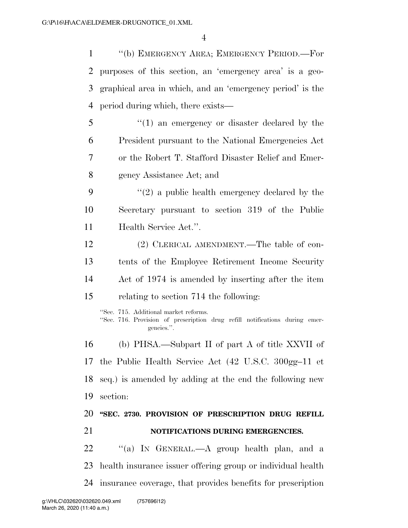''(b) EMERGENCY AREA; EMERGENCY PERIOD.—For

 purposes of this section, an 'emergency area' is a geo- graphical area in which, and an 'emergency period' is the period during which, there exists— ''(1) an emergency or disaster declared by the President pursuant to the National Emergencies Act or the Robert T. Stafford Disaster Relief and Emer- gency Assistance Act; and  $(2)$  a public health emergency declared by the Secretary pursuant to section 319 of the Public Health Service Act.''. (2) CLERICAL AMENDMENT.—The table of con- tents of the Employee Retirement Income Security Act of 1974 is amended by inserting after the item relating to section 714 the following: ''Sec. 715. Additional market reforms. ''Sec. 716. Provision of prescription drug refill notifications during emergencies.''. (b) PHSA.—Subpart II of part A of title XXVII of the Public Health Service Act (42 U.S.C. 300gg–11 et seq.) is amended by adding at the end the following new section: **''SEC. 2730. PROVISION OF PRESCRIPTION DRUG REFILL NOTIFICATIONS DURING EMERGENCIES.**  22 "(a) IN GENERAL.—A group health plan, and a health insurance issuer offering group or individual health

insurance coverage, that provides benefits for prescription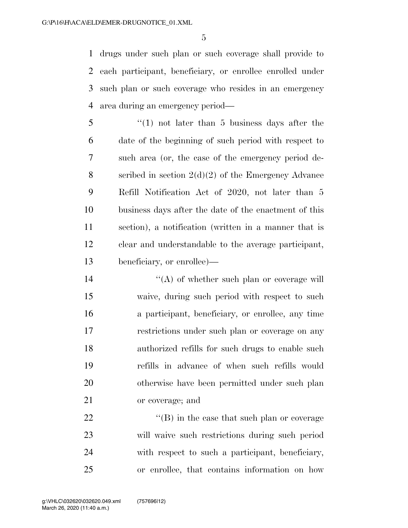drugs under such plan or such coverage shall provide to each participant, beneficiary, or enrollee enrolled under such plan or such coverage who resides in an emergency area during an emergency period—

 ''(1) not later than 5 business days after the date of the beginning of such period with respect to such area (or, the case of the emergency period de- scribed in section 2(d)(2) of the Emergency Advance Refill Notification Act of 2020, not later than 5 business days after the date of the enactment of this section), a notification (written in a manner that is clear and understandable to the average participant, beneficiary, or enrollee)—

 $\mathcal{L}(\mathbf{A})$  of whether such plan or coverage will waive, during such period with respect to such a participant, beneficiary, or enrollee, any time restrictions under such plan or coverage on any authorized refills for such drugs to enable such refills in advance of when such refills would otherwise have been permitted under such plan or coverage; and

 $\langle$  (B) in the case that such plan or coverage will waive such restrictions during such period with respect to such a participant, beneficiary, or enrollee, that contains information on how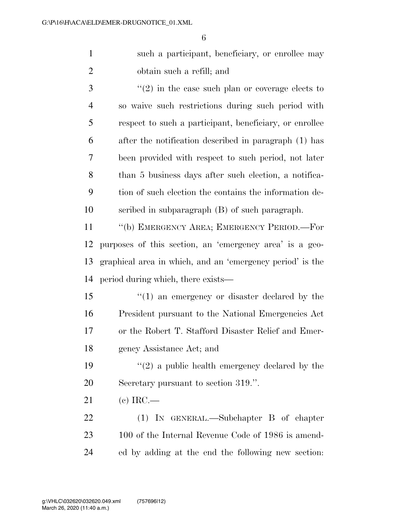such a participant, beneficiary, or enrollee may obtain such a refill; and

 ''(2) in the case such plan or coverage elects to so waive such restrictions during such period with respect to such a participant, beneficiary, or enrollee after the notification described in paragraph (1) has been provided with respect to such period, not later than 5 business days after such election, a notifica- tion of such election the contains the information de-scribed in subparagraph (B) of such paragraph.

 ''(b) EMERGENCY AREA; EMERGENCY PERIOD.—For purposes of this section, an 'emergency area' is a geo- graphical area in which, and an 'emergency period' is the period during which, there exists—

 ''(1) an emergency or disaster declared by the President pursuant to the National Emergencies Act or the Robert T. Stafford Disaster Relief and Emer-gency Assistance Act; and

19  $(2)$  a public health emergency declared by the Secretary pursuant to section 319.''.

(c) IRC.—

 (1) IN GENERAL.—Subchapter B of chapter 100 of the Internal Revenue Code of 1986 is amend-ed by adding at the end the following new section: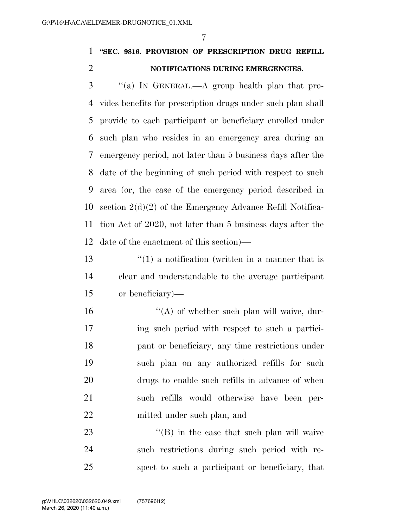## **''SEC. 9816. PROVISION OF PRESCRIPTION DRUG REFILL NOTIFICATIONS DURING EMERGENCIES.**

 ''(a) IN GENERAL.—A group health plan that pro- vides benefits for prescription drugs under such plan shall provide to each participant or beneficiary enrolled under such plan who resides in an emergency area during an emergency period, not later than 5 business days after the date of the beginning of such period with respect to such area (or, the case of the emergency period described in section 2(d)(2) of the Emergency Advance Refill Notifica- tion Act of 2020, not later than 5 business days after the date of the enactment of this section)—

13  $\frac{1}{2}$  (1) a notification (written in a manner that is clear and understandable to the average participant or beneficiary)—

 $\mathcal{L}(\mathbf{A})$  of whether such plan will waive, dur- ing such period with respect to such a partici- pant or beneficiary, any time restrictions under such plan on any authorized refills for such drugs to enable such refills in advance of when such refills would otherwise have been per-mitted under such plan; and

23 ''(B) in the case that such plan will waive such restrictions during such period with re-spect to such a participant or beneficiary, that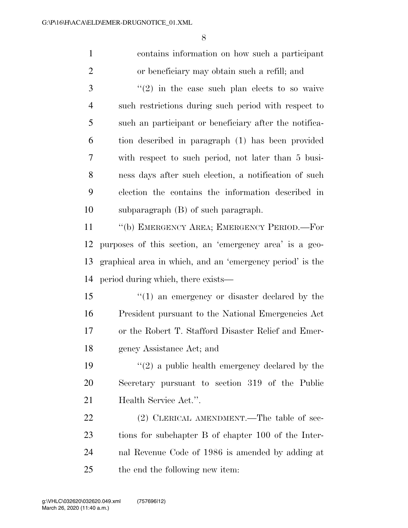contains information on how such a participant or beneficiary may obtain such a refill; and ''(2) in the case such plan elects to so waive such restrictions during such period with respect to such an participant or beneficiary after the notifica- tion described in paragraph (1) has been provided with respect to such period, not later than 5 busi- ness days after such election, a notification of such election the contains the information described in subparagraph (B) of such paragraph. ''(b) EMERGENCY AREA; EMERGENCY PERIOD.—For purposes of this section, an 'emergency area' is a geo- graphical area in which, and an 'emergency period' is the period during which, there exists— ''(1) an emergency or disaster declared by the President pursuant to the National Emergencies Act or the Robert T. Stafford Disaster Relief and Emer- gency Assistance Act; and  $\frac{1}{2}$  a public health emergency declared by the Secretary pursuant to section 319 of the Public 21 Health Service Act.". 22 (2) CLERICAL AMENDMENT.—The table of sec- tions for subchapter B of chapter 100 of the Inter- nal Revenue Code of 1986 is amended by adding at the end the following new item: